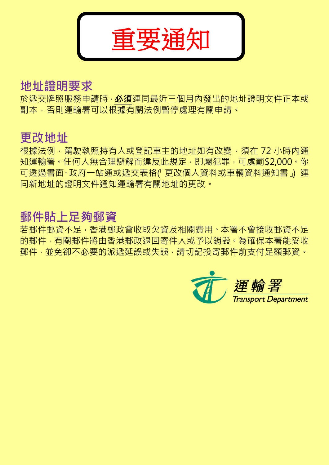

# 地址證明要求

於遞交牌照服務申請時, 必須連同最近三個月內發出的地址證明文件正本或 副本,否則運輸署可以根據有關法例暫停處理有關申請。

# 更改地址

根據法例,駕駛執照持有人或登記車主的地址如有改變,須在 72 小時內通 知運輸署 · 任何人無合理辯解而違反此規定, 即屬犯罪, 可處罰\$2,000 · 你 可透過書面、政府一站通或遞交表格(「更改個人資料或車輛資料通知書」) 連 同新地址的證明文件通知運輸署有關地址的更改。

# 郵件貼上足夠郵資

若郵件郵資不足,香港郵政會收取欠資及相關費用。本署不會接收郵資不足 的郵件, 有關郵件將由香港郵政退回寄件人或予以銷毀。為確保本署能妥收 郵件,並免卻不必要的派遞延誤或失誤,請切記投寄郵件前支付足額郵資。

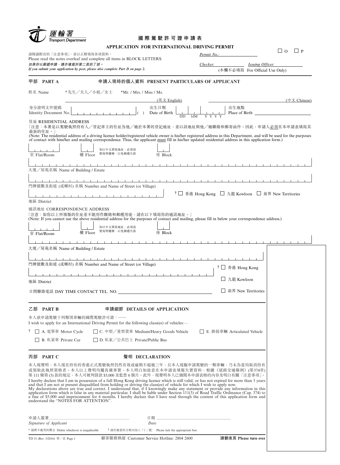| Transport Department                                                           | 國際駕駛許可證申請表                                                                                                                                                                                                                                                                                                                                                                                                                                                                                                                                                                                                                                                                                                                                                                                                                                                                                                      |                                                   |                                |
|--------------------------------------------------------------------------------|-----------------------------------------------------------------------------------------------------------------------------------------------------------------------------------------------------------------------------------------------------------------------------------------------------------------------------------------------------------------------------------------------------------------------------------------------------------------------------------------------------------------------------------------------------------------------------------------------------------------------------------------------------------------------------------------------------------------------------------------------------------------------------------------------------------------------------------------------------------------------------------------------------------------|---------------------------------------------------|--------------------------------|
|                                                                                | APPLICATION FOR INTERNATIONAL DRIVING PERMIT                                                                                                                                                                                                                                                                                                                                                                                                                                                                                                                                                                                                                                                                                                                                                                                                                                                                    |                                                   |                                |
| 請閱讀附頁的「注意事項」,並以正楷填寫各項資料。                                                       |                                                                                                                                                                                                                                                                                                                                                                                                                                                                                                                                                                                                                                                                                                                                                                                                                                                                                                                 | Permit No.:                                       | $\Box$ o<br>$\Box$ P           |
| 如果你以郵遞申請,請亦填寫於第二頁的丁部。                                                          | Please read the notes overleaf and complete all items in BLOCK LETTERS.                                                                                                                                                                                                                                                                                                                                                                                                                                                                                                                                                                                                                                                                                                                                                                                                                                         | Checker:                                          | <i>Issuing Officer:</i>        |
| If you submit your application by post, please also complete Part D on page 2. |                                                                                                                                                                                                                                                                                                                                                                                                                                                                                                                                                                                                                                                                                                                                                                                                                                                                                                                 |                                                   | (本欄不必填寫 For Official Use Only) |
| 甲部<br>PART A                                                                   | 申請人現時的個人資料 PRESENT PARTICULARS OF APPLICANT                                                                                                                                                                                                                                                                                                                                                                                                                                                                                                                                                                                                                                                                                                                                                                                                                                                                     |                                                   |                                |
| 姓名 Name                                                                        | * 先生/夫人/小姐/女士<br>$*Mr.$ / Mrs. / Miss / Ms.                                                                                                                                                                                                                                                                                                                                                                                                                                                                                                                                                                                                                                                                                                                                                                                                                                                                     |                                                   |                                |
|                                                                                | (英文 English)                                                                                                                                                                                                                                                                                                                                                                                                                                                                                                                                                                                                                                                                                                                                                                                                                                                                                                    |                                                   | (中文 Chinese)                   |
| 身分證明文件號碼<br>Identity Document No.                                              | 出生日期<br>Date of Birth<br>DD                                                                                                                                                                                                                                                                                                                                                                                                                                                                                                                                                                                                                                                                                                                                                                                                                                                                                     | 出生地點<br>Place of Birth<br>MM<br>Y Y Y             |                                |
| 住址 RESIDENTIAL ADDRESS                                                         | 「注意:本署是以駕駛執照持有人/登記車主的住址為他/她於本署的登記地址,並以該地址與他/她聯絡和郵寄函件。因此,申請人 <u>必須</u> 在本申請表填寫其                                                                                                                                                                                                                                                                                                                                                                                                                                                                                                                                                                                                                                                                                                                                                                                                                                  |                                                   |                                |
| 最新的住址。                                                                         | (Note: The residential address of a driving licence holder/registered vehicle owner is his/her registered address in this Department, and will be used for the purposes<br>of contact with him/her and mailing correspondence. Thus, the applicant must fill in his/her updated residential address in this application form.)                                                                                                                                                                                                                                                                                                                                                                                                                                                                                                                                                                                  |                                                   |                                |
| 室 Flat/Room<br>樓 Floor                                                         | 如以中文書寫地址,必須清<br>楚寫明樓層,以免郵遞失誤<br>座 Block                                                                                                                                                                                                                                                                                                                                                                                                                                                                                                                                                                                                                                                                                                                                                                                                                                                                         |                                                   |                                |
|                                                                                |                                                                                                                                                                                                                                                                                                                                                                                                                                                                                                                                                                                                                                                                                                                                                                                                                                                                                                                 |                                                   |                                |
| 大廈/屋苑名稱 Name of Building / Estate                                              |                                                                                                                                                                                                                                                                                                                                                                                                                                                                                                                                                                                                                                                                                                                                                                                                                                                                                                                 |                                                   |                                |
|                                                                                | $1 - 1 - 1 - 1 - 1$<br>門牌號數及街道 (或鄉村) 名稱 Number and Name of Street (or Village)                                                                                                                                                                                                                                                                                                                                                                                                                                                                                                                                                                                                                                                                                                                                                                                                                                  |                                                   |                                |
|                                                                                |                                                                                                                                                                                                                                                                                                                                                                                                                                                                                                                                                                                                                                                                                                                                                                                                                                                                                                                 | †□ 香港 Hong Kong □ 九龍 Kowloon □ 新界 New Territories |                                |
| 地區 District                                                                    |                                                                                                                                                                                                                                                                                                                                                                                                                                                                                                                                                                                                                                                                                                                                                                                                                                                                                                                 |                                                   |                                |
| 通訊地址 CORRESPONDENCE ADDRESS                                                    | 「注意:如你以上所填報的住址並不能用作聯絡和郵遞用途,請在以下填寫你的通訊地址。」<br>(Note: If you cannot use the above residential address for the purposes of contact and mailing, please fill in below your correspondence address.)                                                                                                                                                                                                                                                                                                                                                                                                                                                                                                                                                                                                                                                                                                                 |                                                   |                                |
|                                                                                | 如以中文書寫地址,必須清                                                                                                                                                                                                                                                                                                                                                                                                                                                                                                                                                                                                                                                                                                                                                                                                                                                                                                    |                                                   |                                |
| 樓 Floor<br>室 Flat/Room                                                         | 楚寫明樓層,以免郵遞失誤<br>座 Block                                                                                                                                                                                                                                                                                                                                                                                                                                                                                                                                                                                                                                                                                                                                                                                                                                                                                         |                                                   |                                |
|                                                                                |                                                                                                                                                                                                                                                                                                                                                                                                                                                                                                                                                                                                                                                                                                                                                                                                                                                                                                                 |                                                   |                                |
| 大廈/屋苑名稱 Name of Building / Estate                                              |                                                                                                                                                                                                                                                                                                                                                                                                                                                                                                                                                                                                                                                                                                                                                                                                                                                                                                                 |                                                   |                                |
|                                                                                |                                                                                                                                                                                                                                                                                                                                                                                                                                                                                                                                                                                                                                                                                                                                                                                                                                                                                                                 |                                                   |                                |
|                                                                                | 門牌號數及街道 (或鄉村) 名稱 Number and Name of Street (or Village)                                                                                                                                                                                                                                                                                                                                                                                                                                                                                                                                                                                                                                                                                                                                                                                                                                                         | † □ 香港 Hong Kong                                  |                                |
|                                                                                | .                                                                                                                                                                                                                                                                                                                                                                                                                                                                                                                                                                                                                                                                                                                                                                                                                                                                                                               |                                                   |                                |
| 地區 District                                                                    |                                                                                                                                                                                                                                                                                                                                                                                                                                                                                                                                                                                                                                                                                                                                                                                                                                                                                                                 | 九龍 Kowloon                                        |                                |
|                                                                                |                                                                                                                                                                                                                                                                                                                                                                                                                                                                                                                                                                                                                                                                                                                                                                                                                                                                                                                 |                                                   | 新界 New Territories             |
| 乙部<br><b>PART B</b>                                                            | 申請細節 DETAILS OF APPLICATION                                                                                                                                                                                                                                                                                                                                                                                                                                                                                                                                                                                                                                                                                                                                                                                                                                                                                     |                                                   |                                |
| 本人欲申請駕駛下列類別車輛的國際駕駛許可證: --                                                      | I wish to apply for an International Driving Permit for the following class(es) of vehicles:—                                                                                                                                                                                                                                                                                                                                                                                                                                                                                                                                                                                                                                                                                                                                                                                                                   |                                                   |                                |
| □ A. 電單車 Motor Cycle                                                           | □ C. 中型/重型貨車 Medium/Heavy Goods Vehicle                                                                                                                                                                                                                                                                                                                                                                                                                                                                                                                                                                                                                                                                                                                                                                                                                                                                         | E. 掛接車輛 Articulated Vehicle                       |                                |
| B. 私家車 Private Car                                                             | □ D. 私家/公共巴士 Private/Public Bus                                                                                                                                                                                                                                                                                                                                                                                                                                                                                                                                                                                                                                                                                                                                                                                                                                                                                 |                                                   |                                |
| <b>PART C</b><br>丙部                                                            | 聲明 DECLARATION                                                                                                                                                                                                                                                                                                                                                                                                                                                                                                                                                                                                                                                                                                                                                                                                                                                                                                  |                                                   |                                |
| understand the "NOTES FOR ATTENTION".                                          | 本人現聲明,本人現在持有的香港正式駕駛執照仍然有效或逾期不超過三年,且本人現擬申請駕駛的一類車輛,乃未為當局取消持有<br>或領取此執照資格者。本人以上聲明均屬真確事實。本人明白如故意在本申請表填報失實資料,根據《道路交通條例》(第374章)<br>第 111 條第 (3) 款的規定,本人可被判罰款 \$5,000 及監禁 6 個月。此外,現聲明本人已細閲本申請表格的內容及明白有關「注意事項」。<br>I hereby declare that I am in possession of a full Hong Kong driving licence which is still valid, or has not expired for more than 3 years<br>and that I am not at present disqualified from holding or driving the class(es) of vehicle for which I wish to apply now.<br>My declarations above are true and correct. I understand that, if I knowingly make any statement or provide any information in this<br>application form which is false in any material particular, I shall be liable under Section 111(3) of Road Traffic Ordinance (Cap. 374) to<br>a fine of \$5,000 and imprisonment for 6 months. I hereby declare that I have read through the content of this application form and |                                                   |                                |
|                                                                                |                                                                                                                                                                                                                                                                                                                                                                                                                                                                                                                                                                                                                                                                                                                                                                                                                                                                                                                 | 日期 ………………………………………………………                          |                                |
| Signature of Applicant                                                         | Date<br>* 請將不適用的刪去 Delete whichever is inapplicable → 「請在適當的方格內加上「√」號 → Please tick the appropriate box                                                                                                                                                                                                                                                                                                                                                                                                                                                                                                                                                                                                                                                                                                                                                                                                         |                                                   |                                |

TD 51 (Rev. 5/2016) 第一頁 Page 1

 $\bullet$ 

第一頁 Page 1 顧客服務熱線 Customer Service Hotline: 2804 2600 **請翻後頁 Please turn over**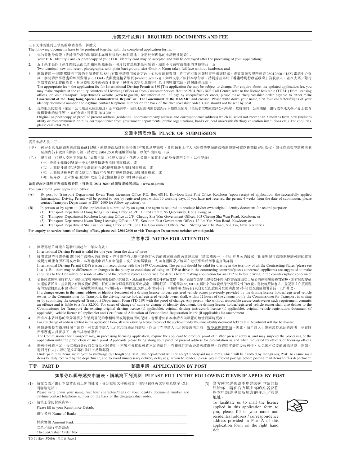# **所需文件及費用 REQUIRED DOCUMENTS AND FEE**

以下文件需連同已填妥的申請表格一併遞交:—

- The following documents have to be produced together with the completed application forms:—
- 1. 你的香港身份證(香港身份證的影印副本亦可被接納作核對用途,並將於辦理你的申請後被銷毀);
- Your H.K. Identity Card (A photocopy of your H.K. identity card may be accepted and will be destroyed after the processing of your application);
- 2. 五十毫米長四十毫米闊的正面全新相同近照兩張,照片的背景應無任何裝飾,頭部不可戴帽或類似的其他物品;及
- Two identical, new and recent photographs, with plain background, size  $40 \text{mm} \times 50 \text{mm}$  taken full face without headwear; and

應繳費用––國際駕駛許可證的申請費用為 \$80 [有關申請費用或會更改。如欲知最新費用,你可於本署各牌照事務處詢問處、或致電顧客服務熱線 2804 2600/1823 電話中心查 詢、參閱牌照事務處的牌照費用表 (TD341) 或瀏覽運輸署網頁 (www.td.gov.hk)]。如以支票/銀行本票付款,請劃線並寫明「香港特別行政區政府」為收款人。並在支票/銀行 本票背面寫上你的姓名、身分證明文件號碼首 4 個字(包括英文字母及數字)及日間聯絡電話。請勿郵寄現款。 The appropriate fee – the application fee for International Driving Permit is \$80 [The application fee may be subject to change. For enquiry about the updated application fee, you

may make enquires at the enquiry counters of Licensing Offices or from Customer Service Hotline 2804 2600/1823 Call Centre, refer to the licence fees table (TD341) from licensing offices, or visit Transport Department's website (www.td.gov.hk) for information]. If pay by cheque/cashier order, please make cheque/cashier order payable to either "**The Government of the Hong Kong Special Administrative Region**" or "**The Government of the HKSAR**" and crossed. Please write down your name, first four characters/digits of your identity document number and daytime contact telephone number on the back of the cheque/cashier order. Cash should not be sent by post.

現時地址的證明(住址/公司地址及通訊地址)正本或副本,而該地址證明需發出距今不超過三個月(包括水電煤或電訊公司帳單、政府部門、公共機構、銀行或本地大學/專上教育 機構發出的信件等)。如有查詢,可致電 2804 2600。

Original or photocopy of proof of present address (residential address/company address and correspondence address) which is issued not more than 3 months from now (includes utility or telecommunication bills, correspondence from government departments, public organizations, banks or local universities/tertiary education institutions etc.). For enquiries, please call 2804 2600.

# **交回申請表地點 PLACE OF SUBMISSION**

#### 填妥申請表後,可:

- (甲) 郵寄至東九龍觀塘郵政信箱68115號,運輸署觀塘牌照事務處(本署收到申請後,會於10個工作天內將成功申請的國際駕駛許可證以掛號信寄回給你。如你在遞交申請後四個 星期內仍未收到有關許可證,請致電 2804 2600 與運輸署聯絡,以便作出跟進);或
- (乙) 親自或由代理人交回下列地點(如果申請由代理人遞交,代理人必須出示其本人的身分證明文件,以作記錄):
	- (一)香港金鐘道95號統一中心3樓運輸署香港牌照事務處;或
	- (二)九龍長沙灣道303號長沙灣政府合署2樓運輸署九龍牌照事務處;或
	- (三)九龍觀塘鯉魚門道12號東九龍政府合署5字樓運輸署觀塘牌照事務處;或
	- (四)新界沙田上禾輋路1號沙田政府合署2樓運輸署沙田牌照事務處。

#### 如需查詢各牌照事務處服務時間,可致電 **2804 2600** 或瀏覽運輸署網站:**www.td.gov.hk**

You can submit your application either:

- (A) By post to Transport Department Kwun Tong Licensing Office, P.O. Box 68115, Kowloon East Post Office, Kowloon (upon receipt of application, the successfully applied International Driving Permit will be posted to you by registered post within 10 working days. If you have not received the permit 4 weeks from the date of submission, please contact Transport Department at 2804 2600 for follow up action); or
- (B) In person or by agent to (if the application is submitted by an agent, the agent is required to produce his/her own original identity document for record purpose):
	- (1) Transport Department Hong Kong Licensing Office at 3/F., United Centre, 95 Queensway, Hong Kong; or
	- (2) Transport Department Kowloon Licensing Office at 2/F., Cheung Sha Wan Government Offices, 303 Cheung Sha Wan Road, Kowloon; or
	- (3) Transport Department Kwun Tong Licensing Office at 5/F., Kowloon East Government Offices, 12 Lei Yue Mun Road, Kowloon; or
	- (4) Transport Department Sha Tin Licensing Office at 2/F., Sha Tin Government Offices, No. 1 Sheung Wo Che Road, Sha Tin, New Territories.

**For enquiry on service hours of licensing offices, please call 2804 2600 or visit Transport Department website: www.td.gov.hk**

## **注意事項 NOTES FOR ATTENTION**

1. 國際駕駛許可證在簽發日期起計一年內有效。

- International Driving Permit is valid for one year from the date of issue.
- 2. 國際駕駛許可證是根據1949年國際公約而簽發,許可證持有人應可於簽訂公約的國家或地區內駕駛車輛(請參閱表一)。但由於各公約國家/地區對認可國際駕駛許可證的政策 或規定可能有所不同或改動,本署建議申請人在申請前,或在該地駕駛前,先向有關國家/地區在港領事館或辦事處查詢詳情。
- International Driving Permit (IDP) is issued in accordance with the 1949 Convention. The permit should be valid for driving in the territory of all the Contracting States (please see List 1). But there may be differences or changes in the policy or conditions of using an IDP to drive in the contracting countries/places concerned, applicants are suggested to make enquiries to the Consulates or resident offices of the countries/places concerned for details before making application for an IDP or before driving in the countries/place concerned. 如任何駕駛執照持有人/登記車主曾向運輸署署長提供其<mark>姓名、地址或身分證明文件有所改變</mark>,他/她須在改變出現後72小時內以書面或遞交已填妥的運輸署表格TD559,將有關改變通
- 知運輸署署長,並需提交有關改變的證明。任何人無合理辯解而違反此規定,即屬犯罪,可處罰款\$2,000。如屬姓名的改變或身分證明文件的改變,駕駛執照持有人/登記車主亦須將現 有的駕駛執照正本(如持有)、駕駛教師執照正本(如持有)、車輛登記文件正本(如持有)、車輛牌照(如持有)及自訂登記號碼分配證明書(如持有) 送交出運輸署署長,以作修改。 If a **change occurs in the name, address or identity document** of a driving licence holder/registered vehicle owner previously provided by the driving licence holder/registered vehicle owner to the Commissioner for Transport, the driving licence holder/registered vehicle owner shall, within 72 hours of the change, notify the Commissioner for Transport in writing or by submitting the completed Transport Department Form (TD 559) with the proof of change. Any person who without reasonable excuse contravenes such requirement commits an offence and is liable to a fine \$2,000. For cases of change of name or change of identity document, the driving licence holder/registered vehicle owner shall also deliver to the Commissioner for Transport the existing original driving licence (if applicable), original driving instructor's licence (if applicable), original vehicle registration document (if applicable), vehicle licence (if applicable) and Certificate of Allocation of Personalized Registration Mark (if applicable) for amendment.
- 4. 所有在本署以你的身分證明文件號碼登記的車輛牌照或駕駛執照的記錄,會根據你在本申請表內填報的地址而同時更改。

For any change of address notified in this application form, all vehicle/driving licence records of the applicant under the same identity document held by this Department will also be changed.

- 5. 運輸署署長在處理牌照申請時,可要求申請人出示其現時地址的證明,以及可在申請人出示該等證明之前,暫<u>停處理該申請</u>。因此,請申請人士帶同現時地址的證明,並在牌 照事務處人員要求下,出示其地址證明。
- The Commissioner for Transport may, in processing licensing application, require the applicant to produce proof of his/her present address, and may suspend the processing of the application until the production of such proof. Applicants please bring along your proof of present address for presentation as and when requested by officers of licensing offices. 若郵件郵資不足,香港郵政會收取欠資及相關費用。本署不會接收郵資不足的信件,有關郵件將由香港郵政處理。為確保本署能妥收郵件,及免卻不必要的派遞延誤(例如, 退回寄件人),請切記投寄郵件前貼上足夠郵資。

Underpaid mail items are subject to surcharge by HongKong Post. This department will not accept underpaid mail items, which will be handled by HongKong Post. To ensure mail items be duly received by the department, and to avoid unnecessary delivery delay (e.g. return to sender), please pay sufficient postage before posting mail items to this department.

## **丁部 PART D 郵遞申請 APPLICATION BY POST**

## **如果你以郵寄遞交申請表,請填寫下列資料 PLEASE FILL IN THE FOLLOWING ITEMS IF APPLY BY POST**

(1) 請在支票/銀行本票背面寫上你的姓名、身分證明文件號碼首 4 個字(包括英文字母及數字)及日 間聯絡電話。

Please write down your name, first four characters/digits of your identity document number and daytime contact telephone number on the back of the cheque/cashier order.

(2) 請填上你的付款資料。 Please fill in your Remittance Details.

銀行名稱 Name of Bank:

付款總額 Amount Paid:

支票/銀行本票號碼 Cheque/Cashier Order No. (3) 為方便本署郵寄本申請表所申請的執 照給你,請在右方填上你的姓名及你 於本申請表甲部所填寫的住址/通訊 地址。

> To facilitate us to mail the licence applied in this application form to you, please fill in your name and residential address / correspondence address provided in Part A of this application form on the right hand side.

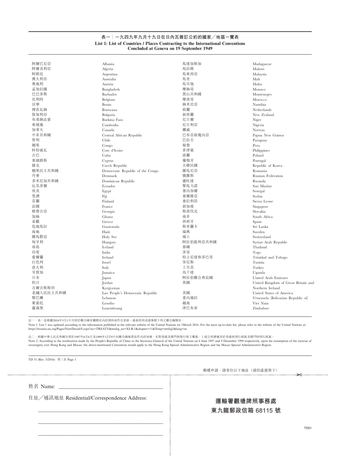# **表一:一九四九年九月十九日在日內瓦簽訂公約的國家/地區一覽表 List 1: List of Countries / Places Contracting to the International Conventions Concluded at Geneva on 19 September 1949**

| 阿爾巴尼亞     | Albania                          | 馬達加斯加     | Madagascar                          |
|-----------|----------------------------------|-----------|-------------------------------------|
| 阿爾及利亞     | Algeria                          | 馬拉維       | Malawi                              |
| 阿根廷       | Argentina                        | 馬來西亞      | Malaysia                            |
| 澳大利亞      | Australia                        | 馬里        | Mali                                |
| 奧地利       | Austria                          | 馬耳他       | Malta                               |
| 孟加拉國      | Bangladesh                       | 摩納哥       | Monaco                              |
| 巴巴多斯      | <b>Barbados</b>                  | 黑山共和國     | Montenegro                          |
| 比利時       | Belgium                          | 摩洛哥       | Morocco                             |
| 貝寧        | Benin                            | 納米比亞      | Namibia                             |
| 博茨瓦納      | Botswana                         | 荷蘭        | Netherlands                         |
| 保加利亞      | Bulgaria                         | 新西蘭       | New Zealand                         |
| 布基納法索     | Burkina Faso                     | 尼日爾       | Niger                               |
| 柬埔寨       | Cambodia                         | 尼日利亞      | Nigeria                             |
| 加拿大       | Canada                           | 挪威        | Norway                              |
| 中非共和國     | Central African Republic         | 巴布亞新幾內亞   | Papua New Guinea                    |
| 智利        | Chile                            | 巴拉圭       | Paraguay                            |
| 剛果        | Congo                            | 秘魯        | Peru                                |
| 科特迪瓦      | Cote d'Ivoire                    | 菲律賓       | Philippines                         |
| 古巴        | Cuba                             | 波蘭        | Poland                              |
| 塞浦路斯      | Cyprus                           | 葡萄牙       | Portugal                            |
| 捷克        |                                  | 大韓民國      |                                     |
| 剛果民主共和國   | Czech Republic                   | 羅馬尼亞      | Republic of Korea<br>Romania        |
| 丹麥        | Democratic Republic of the Congo | 俄羅斯       | Russian Federation                  |
| 多米尼加共和國   | Denmark                          | 盧旺達       |                                     |
| 厄瓜多爾      | Dominican Republic               | 聖馬力諾      | Rwanda                              |
|           | Ecuador                          | 塞內加爾      | San Marino                          |
| 埃及        | Egypt                            |           | Senegal                             |
| 斐濟        | Fiji                             | 塞爾維亞      | Serbia                              |
| 芬蘭        | Finland                          | 塞拉利昂      | Sierra Leone                        |
| 法國        | France                           | 新加坡       | Singapore                           |
| 格魯吉亞      | Georgia                          | 斯洛伐克      | Slovakia                            |
| 加納        | Ghana                            | 南非        | South Africa                        |
| 希臘        | Greece                           | 西班牙       | Spain                               |
| 危地馬拉      | Guatemala                        | 斯里蘭卡      | Sri Lanka                           |
| 海地        | Haiti                            | 瑞典        | Sweden                              |
| 羅馬敎廷      | Holy See                         | 瑞士        | Switzerland                         |
| 匈牙利       | Hungary                          | 阿拉伯敘利亞共和國 | Syrian Arab Republic                |
| 冰島        | Iceland                          | 泰國        | Thailand                            |
| 印度        | India                            | 多哥        | $\rm Togo$                          |
| 愛爾蘭       | Ireland                          | 特立尼達和多巴哥  | Trinidad and Tobago                 |
| 以色列       | Israel                           | 突尼斯       | Tunisia                             |
| 意大利       | Italy                            | 土耳其       | Turkey                              |
| 牙買加       | Jamaica                          | 烏干達       | Uganda                              |
| 日本        | Japan                            | 阿拉伯聯合酋長國  | United Arab Emirates                |
| 約旦        | Jordan                           | 英國        | United Kingdom of Great Britain and |
| 吉爾吉斯斯坦    | Kyrgyzstan                       |           | Northern Ireland                    |
| 老撾人民民主共和國 | Lao People's Democratic Republic | 美國        | United States of America            |
| 黎巴嫩       | Lebanon                          | 委內瑞拉      | Venezuela (Bolivarian Republic of)  |
| 萊索托       | Lesotho                          | 越南        | Viet Nam                            |
| 盧森堡       | Luxembourg                       | 津巴布韋      | Zimbabwe                            |
|           |                                  |           |                                     |

註一:表一是根據2016年3月1日刊登於聯合國有關網頁內的資料而作出更新。最新的列表請參閱下列之聯合國網頁:

Note 1: List 1 was updated according to the information published in the relevant website of the United Nations on 1March 2016. For the most up-to-date list, please refer to the website of the United Nations at: https://treaties.un.org/Pages/ViewDetailsV.aspx?src=TREATY&mtdsg\_no=XI-B-1&chapter=11&Temp=mtdsg5&lang=en

註二:根據中華人民共和國分別於1997年6月6日及1999年12月9日向聯合國秘書長作出的知會,在對香港及澳門恢復行使主權後,上述公約將適用於香港特別行政區及澳門特別行政區。 Note 2: According to the notification made by the People's Republic of China to the Secretary-General of the United Nations on 6 June 1997 and 9 December 1999 respectively, upon the resumption of the exercise of

sovereignty over Hong Kong and Macao, the above-mentioned Convention would apply to the Hong Kong Special Administrative Region and the Macao Special Administrative Region.

TD 51 (Rev. 5/2016) 第三頁 Page 3

郵遞申請,請寄往以下地址(請沿虛線剪下) ✂

姓名 Name:

住址/通訊地址 Residential/Correspondence Address:

\_\_\_\_\_\_\_\_\_\_\_\_\_\_\_\_\_\_\_\_\_\_\_\_\_\_\_\_\_\_\_\_\_\_\_\_\_\_\_\_\_\_\_\_\_\_\_\_\_

\_\_\_\_\_\_\_\_\_\_\_\_\_\_\_\_\_\_\_\_\_\_\_\_\_\_\_\_\_\_\_\_\_\_\_\_\_\_\_\_\_\_\_\_\_\_\_\_\_

\_\_\_\_\_\_\_\_\_\_\_\_\_\_\_\_\_\_\_\_\_\_\_\_\_\_\_\_\_\_\_\_\_\_\_\_\_\_\_\_\_\_\_\_\_\_\_\_\_

# **運輸署觀塘牌照事務處**